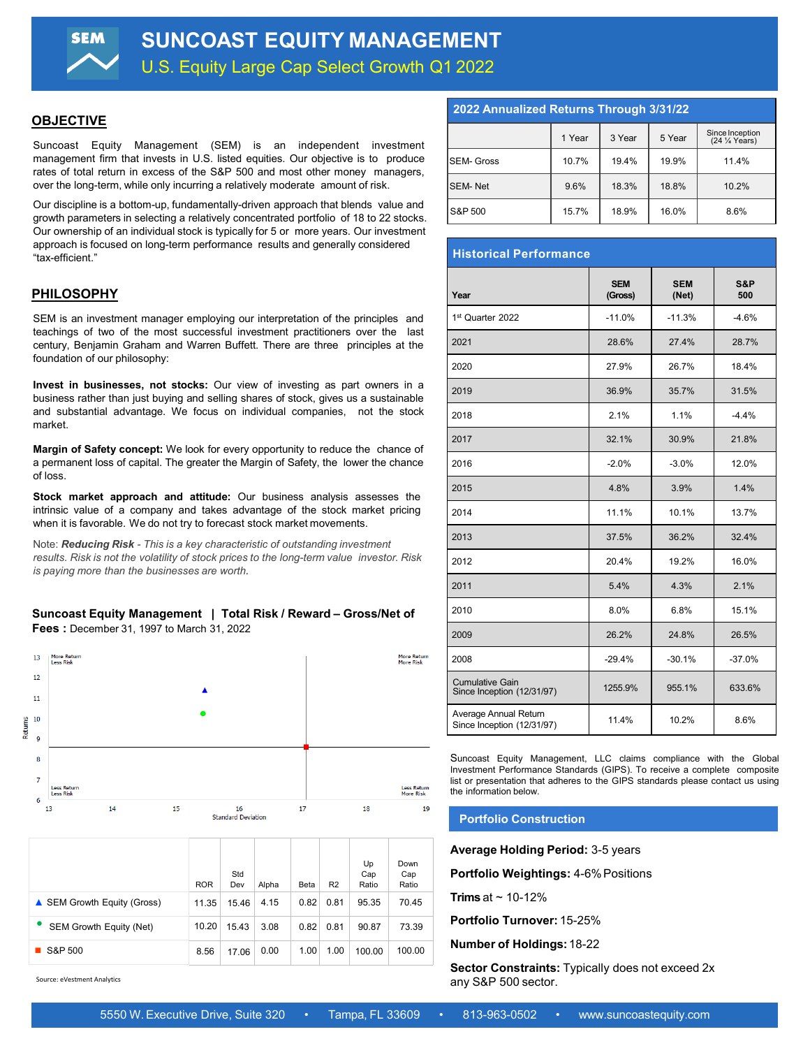## **OBJECTIVE**

Suncoast Equity Management (SEM) is an independent investment management firm that invests in U.S. listed equities. Our objective is to produce rates of total return in excess of the S&P 500 and most other money managers, over the long-term, while only incurring a relatively moderate amount of risk.

Our discipline is a bottom-up, fundamentally-driven approach that blends value and growth parameters in selecting a relatively concentrated portfolio of 18 to 22 stocks. Our ownership of an individual stock is typically for 5 or more years. Our investment approach is focused on long-term performance results and generally considered "tax-efficient."

## **PHILOSOPHY**

SEM is an investment manager employing our interpretation of the principles and teachings of two of the most successful investment practitioners over the last century, Benjamin Graham and Warren Buffett. There are three principles at the foundation of our philosophy:

**Invest in businesses, not stocks:** Our view of investing as part owners in a business rather than just buying and selling shares of stock, gives us a sustainable and substantial advantage. We focus on individual companies, not the stock market.

**Margin of Safety concept:** We look for every opportunity to reduce the chance of a permanent loss of capital. The greater the Margin of Safety, the lower the chance of loss.

**Stock market approach and attitude:** Our business analysis assesses the intrinsic value of a company and takes advantage of the stock market pricing when it is favorable. We do not try to forecast stock market movements.

Note: *Reducing Risk - This is a key characteristic of outstanding investment results. Risk is not the volatility of stock prices to the long-term value investor. Risk is paying more than the businesses are worth.*

#### **Suncoast Equity Management | Total Risk / Reward – Gross/Net of Fees :** December 31, 1997 to March 31, 2022



|                             | <b>ROR</b> | Std<br>Dev | Alpha | Beta | R <sub>2</sub> | Up<br>Cap<br>Ratio | Down<br>Cap<br>Ratio |
|-----------------------------|------------|------------|-------|------|----------------|--------------------|----------------------|
| ▲ SEM Growth Equity (Gross) | 11.35      | 15.46      | 4.15  | 0.82 | 0.81           | 95.35              | 70.45                |
| SEM Growth Equity (Net)     | 10.20      | 15.43      | 3.08  | 0.82 | 0.81           | 90.87              | 73.39                |
| S&P 500                     | 8.56       | 17.06      | 0.00  | 1.00 | 1.00           | 100.00             | 100.00               |

Source: eVestment Analytics

## **2022 Annualized Returns Through 3/31/22**

|                   | 1 Year | 3 Year | 5 Year | Since Inception<br>(24 % Years) |  |  |
|-------------------|--------|--------|--------|---------------------------------|--|--|
| <b>SEM- Gross</b> | 10.7%  | 19.4%  | 19.9%  | 11.4%                           |  |  |
| <b>SEM-Net</b>    | 9.6%   | 18.3%  | 18.8%  | 10.2%                           |  |  |
| S&P 500           | 15.7%  | 18.9%  | 16.0%  | 8.6%                            |  |  |

## **Historical Performance**

| Year                                                 | <b>SEM</b><br>(Gross) | <b>SEM</b><br>(Net) | S&P<br>500 |
|------------------------------------------------------|-----------------------|---------------------|------------|
| 1st Quarter 2022                                     | $-11.0%$              | $-11.3%$            | $-4.6%$    |
| 2021                                                 | 28.6%                 | 27.4%               | 28.7%      |
| 2020                                                 | 27.9%                 | 26.7%               | 18.4%      |
| 2019                                                 | 36.9%                 | 35.7%               | 31.5%      |
| 2018                                                 | 2.1%                  | 1.1%                | $-4.4%$    |
| 2017                                                 | 32.1%                 | 30.9%               | 21.8%      |
| 2016                                                 | $-2.0%$               | $-3.0%$             | 12.0%      |
| 2015                                                 | 4.8%                  | 3.9%                | 1.4%       |
| 2014                                                 | 11.1%                 | 10.1%               | 13.7%      |
| 2013                                                 | 37.5%                 | 36.2%               | 32.4%      |
| 2012                                                 | 20.4%                 | 19.2%               | 16.0%      |
| 2011                                                 | 5.4%                  | 4.3%                | 2.1%       |
| 2010                                                 | 8.0%                  | 6.8%                | 15.1%      |
| 2009                                                 | 26.2%                 | 24.8%               | 26.5%      |
| 2008                                                 | $-29.4%$              | $-30.1%$            | $-37.0%$   |
| <b>Cumulative Gain</b><br>Since Inception (12/31/97) | 1255.9%               | 955.1%              | 633.6%     |
| Average Annual Return<br>Since Inception (12/31/97)  | 11.4%                 | 10.2%               | 8.6%       |

Suncoast Equity Management, LLC claims compliance with the Global Investment Performance Standards (GIPS). To receive a complete composite list or presentation that adheres to the GIPS standards please contact us using the information below.

#### **Portfolio Construction**

**Average Holding Period:** 3-5 years

**Portfolio Weightings:** 4-6%Positions

**Trims** at  $\sim$  10-12%

**Portfolio Turnover:** 15-25%

**Number of Holdings:**18-22

**Sector Constraints: Typically does not exceed 2x** any S&P 500 sector.